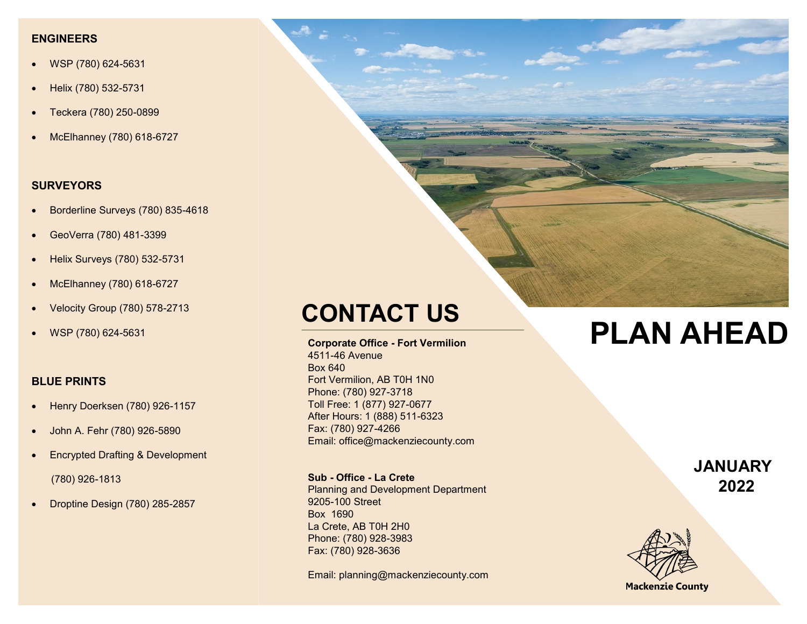#### **ENGINEERS**

- WSP (780) 624-5631
- Helix (780) 532-5731
- Teckera (780) 250-0899
- McElhanney (780) 618-6727

### **SURVEYORS**

- Borderline Surveys (780) 835-4618
- GeoVerra (780) 481-3399
- Helix Surveys (780) 532-5731
- McElhanney (780) 618-6727
- Velocity Group (780) 578-2713
- WSP (780) 624-5631

#### **BLUE PRINTS**

- Henry Doerksen (780) 926-1157
- John A. Fehr (780) 926-5890
- Encrypted Drafting & Development (780) 926-1813
- Droptine Design (780) 285-2857

**Corporate Office - Fort Vermilion** 4511-46 Avenue Box 640 Fort Vermilion, AB T0H 1N0 Phone: (780) 927-3718 Toll Free: 1 (877) 927-0677 After Hours: 1 (888) 511-6323 Fax: (780) 927-4266 Email: office@mackenziecounty.com

**Sub - Office - La Crete**  Planning and Development Department

9205-100 Street Box 1690 La Crete, AB T0H 2H0 Phone: (780) 928-3983 Fax: (780) 928-3636

Email: planning@mackenziecounty.com

# **CONTACT US**<br> **PLAN AHEAD**

**JANUARY 2022**



**Mackenzie County**